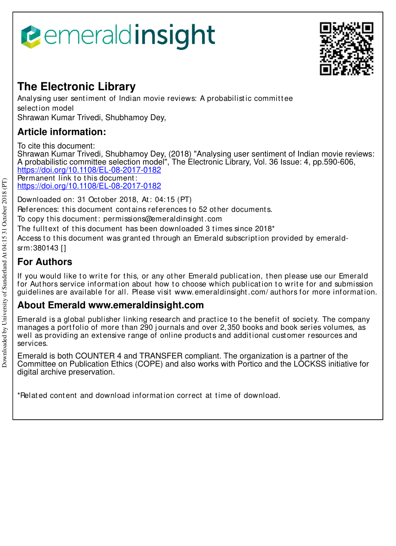# *<u><b>eemeraldinsight</u>*



## **The Electronic Library**

Analysing user sentiment of Indian movie reviews: A probabilistic committee select ion model Shrawan Kumar Trivedi, Shubhamoy Dey,

## **Article information:**

To cite this document:

Shrawan Kumar Trivedi, Shubhamoy Dey, (2018) "Analysing user sentiment of Indian movie reviews: A probabilistic committee selection model", The Electronic Library, Vol. 36 Issue: 4, pp.590-606, https://doi.org/10.1108/EL-08-2017-0182

Permanent link to this document: https://doi.org/10.1108/EL-08-2017-0182

Downloaded on: 31 Oct ober 2018, At : 04:15 (PT)

References: this document contains references to 52 other documents.

To copy t his document : permissions@emeraldinsight .com

The fulltext of this document has been downloaded 3 times since 2018<sup>\*</sup>

Access to this document was granted through an Emerald subscription provided by emeraldsrm:380143 []

## **For Authors**

If you would like to write for this, or any other Emerald publication, then please use our Emerald for Authors service information about how to choose which publication to write for and submission guidelines are available for all. Please visit www.emeraldinsight .com/ aut hors for more informat ion.

## **About Emerald www.emeraldinsight.com**

Emerald is a global publisher linking research and practice to the benefit of society. The company manages a portfolio of more than 290 journals and over 2,350 books and book series volumes, as well as providing an extensive range of online products and additional customer resources and services.

Emerald is both COUNTER 4 and TRANSFER compliant. The organization is a partner of the Committee on Publication Ethics (COPE) and also works with Portico and the LOCKSS initiative for digital archive preservation.

\*Relat ed cont ent and download informat ion correct at t ime of download.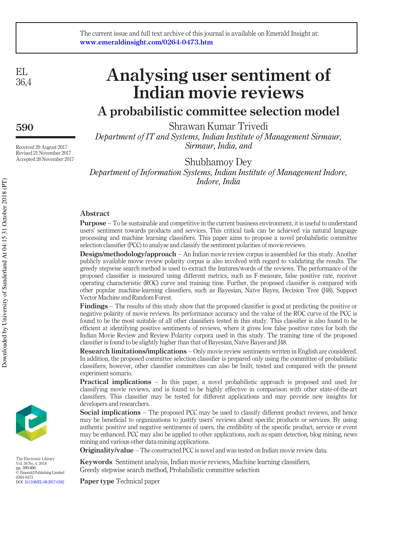#### The current issue and full text archive of this journal is available on Emerald Insight at: www.emeraldinsight.com/0264-0473.htm

EL 36,4

590

Received 29 August 2017 Revised 21 November 2017 Accepted 26 November 2017

## Analysing user sentiment of Indian movie reviews

## A probabilistic committee selection model

Shrawan Kumar Trivedi Department of IT and Systems, Indian Institute of Management Sirmaur, Sirmaur, India, and

Shubhamoy Dey Department of Information Systems, Indian Institute of Management Indore, Indore, India

#### Abstract

Purpose – To be sustainable and competitive in the current business environment, it is useful to understand users' sentiment towards products and services. This critical task can be achieved via natural language processing and machine learning classifiers. This paper aims to propose a novel probabilistic committee selection classifier (PCC) to analyse and classify the sentiment polarities of movie reviews.

Design/methodology/approach – An Indian movie review corpus is assembled for this study. Another publicly available movie review polarity corpus is also involved with regard to validating the results. The greedy stepwise search method is used to extract the features/words of the reviews. The performance of the proposed classifier is measured using different metrics, such as F-measure, false positive rate, receiver operating characteristic (ROC) curve and training time. Further, the proposed classifier is compared with other popular machine-learning classifiers, such as Bayesian, Naïve Bayes, Decision Tree (J48), Support Vector Machine and Random Forest.

Findings – The results of this study show that the proposed classifier is good at predicting the positive or negative polarity of movie reviews. Its performance accuracy and the value of the ROC curve of the PCC is found to be the most suitable of all other classifiers tested in this study. This classifier is also found to be efficient at identifying positive sentiments of reviews, where it gives low false positive rates for both the Indian Movie Review and Review Polarity corpora used in this study. The training time of the proposed classifier is found to be slightly higher than that of Bayesian, Naïve Bayes and J48.

Research limitations/implications – Only movie review sentiments written in English are considered. In addition, the proposed committee selection classifier is prepared only using the committee of probabilistic classifiers; however, other classifier committees can also be built, tested and compared with the present experiment scenario.

Practical implications – In this paper, a novel probabilistic approach is proposed and used for classifying movie reviews, and is found to be highly effective in comparison with other state-of-the-art classifiers. This classifier may be tested for different applications and may provide new insights for developers and researchers.

Social implications – The proposed PCC may be used to classify different product reviews, and hence may be beneficial to organizations to justify users' reviews about specific products or services. By using authentic positive and negative sentiments of users, the credibility of the specific product, service or event may be enhanced. PCC may also be applied to other applications, such as spam detection, blog mining, news mining and various other data-mining applications.

Originality/value – The constructed PCC is novel and was tested on Indian movie review data.

Keywords Sentiment analysis, Indian movie reviews, Machine learning classifiers, Greedy stepwise search method, Probabilistic committee selection

Paper type Technical paper



The Electronic Library Vol. 36 No. 4, 2018 pp. 590-606 © Emerald Publishing Limited 0264-0473 DOI 10.1108/EL-08-2017-0182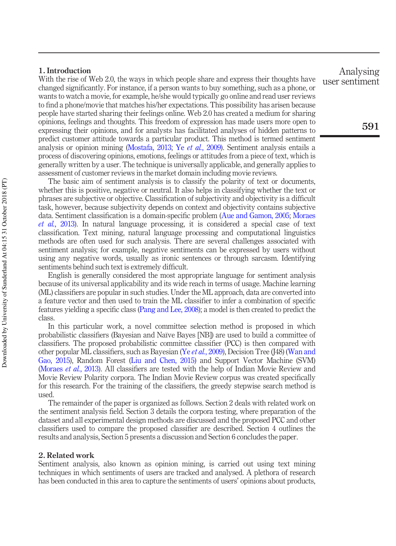#### 1. Introduction

With the rise of Web 2.0, the ways in which people share and express their thoughts have changed significantly. For instance, if a person wants to buy something, such as a phone, or wants to watch a movie, for example, he/she would typically go online and read user reviews to find a phone/movie that matches his/her expectations. This possibility has arisen because people have started sharing their feelings online. Web 2.0 has created a medium for sharing opinions, feelings and thoughts. This freedom of expression has made users more open to expressing their opinions, and for analysts has facilitated analyses of hidden patterns to predict customer attitude towards a particular product. This method is termed sentiment analysis or opinion mining (Mostafa, 2013; Ye et al., 2009). Sentiment analysis entails a process of discovering opinions, emotions, feelings or attitudes from a piece of text, which is generally written by a user. The technique is universally applicable, and generally applies to assessment of customer reviews in the market domain including movie reviews.

The basic aim of sentiment analysis is to classify the polarity of text or documents, whether this is positive, negative or neutral. It also helps in classifying whether the text or phrases are subjective or objective. Classification of subjectivity and objectivity is a difficult task, however, because subjectivity depends on context and objectivity contains subjective data. Sentiment classification is a domain-specific problem (Aue and Gamon, 2005; Moraes et al., 2013). In natural language processing, it is considered a special case of text classification. Text mining, natural language processing and computational linguistics methods are often used for such analysis. There are several challenges associated with sentiment analysis; for example, negative sentiments can be expressed by users without using any negative words, usually as ironic sentences or through sarcasm. Identifying sentiments behind such text is extremely difficult.

English is generally considered the most appropriate language for sentiment analysis because of its universal applicability and its wide reach in terms of usage. Machine learning (ML) classifiers are popular in such studies. Under the ML approach, data are converted into a feature vector and then used to train the ML classifier to infer a combination of specific features yielding a specific class (Pang and Lee, 2008); a model is then created to predict the class.

In this particular work, a novel committee selection method is proposed in which probabilistic classifiers (Bayesian and Naïve Bayes [NB]) are used to build a committee of classifiers. The proposed probabilistic committee classifier (PCC) is then compared with other popular ML classifiers, such as Bayesian (Ye et al., 2009), Decision Tree (J48) (Wan and Gao, 2015), Random Forest (Liu and Chen, 2015) and Support Vector Machine (SVM) (Moraes et al., 2013). All classifiers are tested with the help of Indian Movie Review and Movie Review Polarity corpora. The Indian Movie Review corpus was created specifically for this research. For the training of the classifiers, the greedy stepwise search method is used.

The remainder of the paper is organized as follows. Section 2 deals with related work on the sentiment analysis field. Section 3 details the corpora testing, where preparation of the dataset and all experimental design methods are discussed and the proposed PCC and other classifiers used to compare the proposed classifier are described. Section 4 outlines the results and analysis, Section 5 presents a discussion and Section 6 concludes the paper.

#### 2. Related work

Sentiment analysis, also known as opinion mining, is carried out using text mining techniques in which sentiments of users are tracked and analysed. A plethora of research has been conducted in this area to capture the sentiments of users' opinions about products,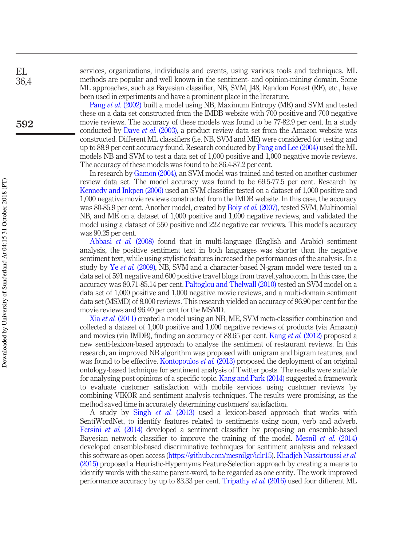services, organizations, individuals and events, using various tools and techniques. ML methods are popular and well known in the sentiment- and opinion-mining domain. Some ML approaches, such as Bayesian classifier, NB, SVM, J48, Random Forest (RF), etc., have been used in experiments and have a prominent place in the literature.

Pang *et al.* (2002) built a model using NB, Maximum Entropy (ME) and SVM and tested these on a data set constructed from the IMDB website with 700 positive and 700 negative movie reviews. The accuracy of these models was found to be 77-82.9 per cent. In a study conducted by Dave et al. (2003), a product review data set from the Amazon website was constructed. Different ML classifiers (i.e. NB, SVM and ME) were considered for testing and up to 88.9 per cent accuracy found. Research conducted by Pang and Lee (2004) used the ML models NB and SVM to test a data set of 1,000 positive and 1,000 negative movie reviews. The accuracy of these models was found to be 86.4-87.2 per cent.

In research by Gamon (2004), an SVM model was trained and tested on another customer review data set. The model accuracy was found to be 69.5-77.5 per cent. Research by Kennedy and Inkpen (2006) used an SVM classifier tested on a dataset of 1,000 positive and 1,000 negative movie reviews constructed from the IMDB website. In this case, the accuracy was 80-85.9 per cent. Another model, created by Boiy et al. (2007), tested SVM, Multinomial NB, and ME on a dataset of 1,000 positive and 1,000 negative reviews, and validated the model using a dataset of 550 positive and 222 negative car reviews. This model's accuracy was 90.25 per cent.

Abbasi et al. (2008) found that in multi-language (English and Arabic) sentiment analysis, the positive sentiment text in both languages was shorter than the negative sentiment text, while using stylistic features increased the performances of the analysis. In a study by Ye et al. (2009), NB, SVM and a character-based N-gram model were tested on a data set of 591 negative and 600 positive travel blogs from travel.yahoo.com. In this case, the accuracy was 80.71-85.14 per cent. Paltoglou and Thelwall (2010) tested an SVM model on a data set of 1,000 positive and 1,000 negative movie reviews, and a multi-domain sentiment data set (MSMD) of 8,000 reviews. This research yielded an accuracy of 96.90 per cent for the movie reviews and 96.40 per cent for the MSMD.

Xia et al. (2011) created a model using an NB, ME, SVM meta-classifier combination and collected a dataset of 1,000 positive and 1,000 negative reviews of products (via Amazon) and movies (via IMDB), finding an accuracy of 88.65 per cent. Kang et al. (2012) proposed a new senti-lexicon-based approach to analyse the sentiment of restaurant reviews. In this research, an improved NB algorithm was proposed with unigram and bigram features, and was found to be effective. Kontopoulos *et al.* (2013) proposed the deployment of an original ontology-based technique for sentiment analysis of Twitter posts. The results were suitable for analysing post opinions of a specific topic. Kang and Park (2014) suggested a framework to evaluate customer satisfaction with mobile services using customer reviews by combining VIKOR and sentiment analysis techniques. The results were promising, as the method saved time in accurately determining customers' satisfaction.

A study by Singh et al. (2013) used a lexicon-based approach that works with SentiWordNet, to identify features related to sentiments using noun, verb and adverb. Fersini et al. (2014) developed a sentiment classifier by proposing an ensemble-based Bayesian network classifier to improve the training of the model. Mesnil et al. (2014) developed ensemble-based discriminative techniques for sentiment analysis and released this software as open access (https://github.com/mesnilgr/iclr15). Khadjeh Nassirtoussi et al. (2015) proposed a Heuristic-Hypernyms Feature-Selection approach by creating a means to identify words with the same parent-word, to be regarded as one entity. The work improved performance accuracy by up to 83.33 per cent. Tripathy et al. (2016) used four different ML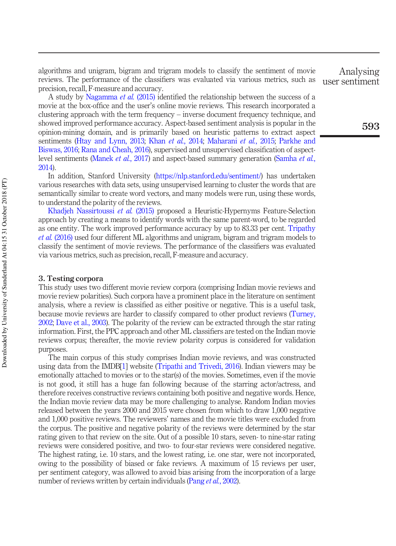algorithms and unigram, bigram and trigram models to classify the sentiment of movie reviews. The performance of the classifiers was evaluated via various metrics, such as precision, recall, F-measure and accuracy.

A study by Nagamma et al. (2015) identified the relationship between the success of a movie at the box-office and the user's online movie reviews. This research incorporated a clustering approach with the term frequency – inverse document frequency technique, and showed improved performance accuracy. Aspect-based sentiment analysis is popular in the opinion-mining domain, and is primarily based on heuristic patterns to extract aspect sentiments (Htay and Lynn, 2013; Khan et al., 2014; Maharani et al., 2015; Parkhe and Biswas, 2016; Rana and Cheah, 2016), supervised and unsupervised classification of aspectlevel sentiments (Manek et al., 2017) and aspect-based summary generation (Samha et al., 2014).

In addition, Stanford University (https://nlp.stanford.edu/sentiment/) has undertaken various researches with data sets, using unsupervised learning to cluster the words that are semantically similar to create word vectors, and many models were run, using these words, to understand the polarity of the reviews.

Khadjeh Nassirtoussi et al. (2015) proposed a Heuristic-Hypernyms Feature-Selection approach by creating a means to identify words with the same parent-word, to be regarded as one entity. The work improved performance accuracy by up to 83.33 per cent. Tripathy et al. (2016) used four different ML algorithms and unigram, bigram and trigram models to classify the sentiment of movie reviews. The performance of the classifiers was evaluated via various metrics, such as precision, recall, F-measure and accuracy.

#### 3. Testing corpora

This study uses two different movie review corpora (comprising Indian movie reviews and movie review polarities). Such corpora have a prominent place in the literature on sentiment analysis, where a review is classified as either positive or negative. This is a useful task, because movie reviews are harder to classify compared to other product reviews (Turney, 2002; Dave et al., 2003). The polarity of the review can be extracted through the star rating information. First, the PPC approach and other ML classifiers are tested on the Indian movie reviews corpus; thereafter, the movie review polarity corpus is considered for validation purposes.

The main corpus of this study comprises Indian movie reviews, and was constructed using data from the IMDB[1] website (Tripathi and Trivedi, 2016). Indian viewers may be emotionally attached to movies or to the star(s) of the movies. Sometimes, even if the movie is not good, it still has a huge fan following because of the starring actor/actress, and therefore receives constructive reviews containing both positive and negative words. Hence, the Indian movie review data may be more challenging to analyse. Random Indian movies released between the years 2000 and 2015 were chosen from which to draw 1,000 negative and 1,000 positive reviews. The reviewers' names and the movie titles were excluded from the corpus. The positive and negative polarity of the reviews were determined by the star rating given to that review on the site. Out of a possible 10 stars, seven- to nine-star rating reviews were considered positive, and two- to four-star reviews were considered negative. The highest rating, i.e. 10 stars, and the lowest rating, i.e. one star, were not incorporated, owing to the possibility of biased or fake reviews. A maximum of 15 reviews per user, per sentiment category, was allowed to avoid bias arising from the incorporation of a large number of reviews written by certain individuals (Pang et al., 2002).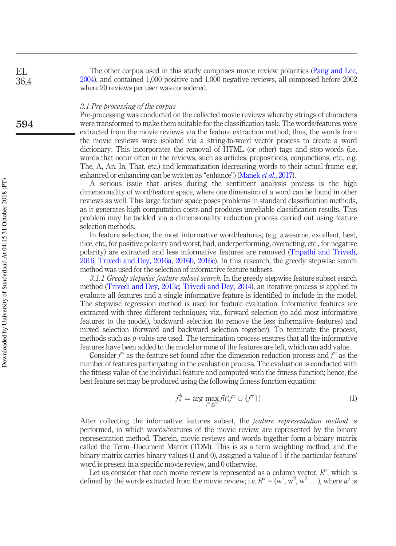The other corpus used in this study comprises movie review polarities (Pang and Lee, 2004), and contained 1,000 positive and 1,000 negative reviews, all composed before 2002 where 20 reviews per user was considered.

#### 3.1 Pre-processing of the corpus

Pre-processing was conducted on the collected movie reviews whereby strings of characters were transformed to make them suitable for the classification task. The words/features were extracted from the movie reviews via the feature extraction method; thus, the words from the movie reviews were isolated via a string-to-word vector process to create a word dictionary. This incorporates the removal of HTML (or other) tags and stop-words (i.e. words that occur often in the reviews, such as articles, prepositions, conjunctions, etc.; e.g. The, A, An, In, That, etc.) and lemmatization (decreasing words to their actual frame; e.g. enhanced or enhancing can be written as "enhance") (Manek et al., 2017).

A serious issue that arises during the sentiment analysis process is the high dimensionality of word/feature space, where one dimension of a word can be found in other reviews as well. This large feature space poses problems in standard classification methods, as it generates high computation costs and produces unreliable classification results. This problem may be tackled via a dimensionality reduction process carried out using feature selection methods.

In feature selection, the most informative word/features; (e.g. awesome, excellent, best, nice, etc., for positive polarity and worst, bad, underperforming, overacting, etc., for negative polarity) are extracted and less informative features are removed (Tripathi and Trivedi, 2016; Trivedi and Dey, 2016a, 2016b, 2016c). In this research, the greedy stepwise search method was used for the selection of informative feature subsets.

3.1.1 Greedy stepwise feature subset search. In the greedy stepwise feature subset search method (Trivedi and Dey, 2013c; Trivedi and Dey, 2014), an iterative process is applied to evaluate all features and a single informative feature is identified to include in the model. The stepwise regression method is used for feature evaluation. Informative features are extracted with three different techniques; viz., forward selection (to add most informative features to the model), backward selection (to remove the less informative features) and mixed selection (forward and backward selection together). To terminate the process, methods such as  $p$ -value are used. The termination process ensures that all the informative features have been added to the model or none of the features are left, which can add value.

Consider  $f^s$  as the feature set found after the dimension reduction process and  $f^e$  as the number of features participating in the evaluation process. The evaluation is conducted with the fitness value of the individual feature and computed with the fitness function; hence, the best feature set may be produced using the following fitness function equation:

$$
f_*^b = \arg\max_{f^e \notin f^s} \mathcal{F}it(f^s \cup \{f^e\})
$$
 (1)

After collecting the informative features subset, the *feature representation method* is performed, in which words/features of the movie review are represented by the binary representation method. Therein, movie reviews and words together form a binary matrix called the Term–Document Matrix (TDM). This is as a term weighting method, and the binary matrix carries binary values (1 and 0), assigned a value of 1 if the particular feature/ word is present in a specific movie review, and 0 otherwise.

Let us consider that each movie review is represented as a column vector,  $R^x$ , which is defined by the words extracted from the movie review; i.e.  $R^x = (w^1, w^2, w^3 \dots)$ , where  $w^i$  is

EL 36,4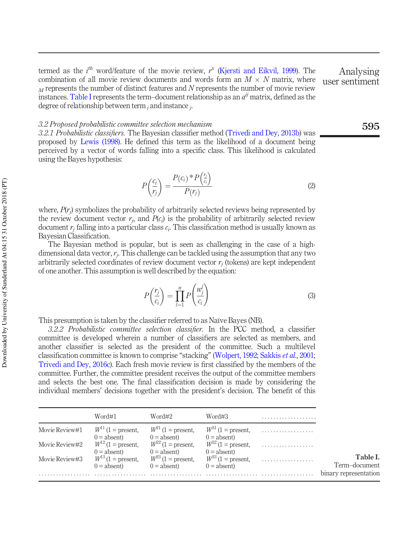termed as the  $i^{th}$  word/feature of the movie review,  $r^x$  (Kjersti and Eikvil, 1999). The combination of all movie review documents and words form an  $M \times N$  matrix, where  $<sub>M</sub>$  represents the number of distinct features and N represents the number of movie review</sub> instances. Table I represents the term-document relationship as an  $a^{ij}$  matrix, defined as the degree of relationship between term  $_i$  and instance  $_j$ .

#### 3.2 Proposed probabilistic committee selection mechanism

3.2.1 Probabilistic classifiers. The Bayesian classifier method (Trivedi and Dey, 2013b) was proposed by Lewis (1998). He defined this term as the likelihood of a document being perceived by a vector of words falling into a specific class. This likelihood is calculated using the Bayes hypothesis:

$$
P\left(\frac{c_i}{r_j}\right) = \frac{P(c_i)^* P\left(\frac{r_j}{c_i}\right)}{P(r_j)}
$$
\n(2)

 $\lambda$ 

where,  $P(r_j)$  symbolizes the probability of arbitrarily selected reviews being represented by the review document vector  $r_j$ , and  $P(c_i)$  is the probability of arbitrarily selected review document  $r_j$  falling into a particular class  $c_i$ . This classification method is usually known as Bayesian Classification.

The Bayesian method is popular, but is seen as challenging in the case of a highdimensional data vector,  $r_j$ . This challenge can be tackled using the assumption that any two arbitrarily selected coordinates of review document vector  $r_j$  (tokens) are kept independent of one another. This assumption is well described by the equation:

$$
P\left(\frac{r_j}{c_i}\right) = \prod_{l=1}^n P\left(\frac{w_j^l}{c_i}\right) \tag{3}
$$

This presumption is taken by the classifier referred to as Naïve Bayes (NB).

3.2.2 Probabilistic committee selection classifier. In the PCC method, a classifier committee is developed wherein a number of classifiers are selected as members, and another classifier is selected as the president of the committee. Such a multilevel classification committee is known to comprise "stacking" (Wolpert, 1992; Sakkis et al., 2001; Trivedi and Dey, 2016c). Each fresh movie review is first classified by the members of the committee. Further, the committee president receives the output of the committee members and selects the best one. The final classification decision is made by considering the individual members' decisions together with the president's decision. The benefit of this

|                | Word#1                                  | Word#2                                      | Word#3                                  |   |                           |
|----------------|-----------------------------------------|---------------------------------------------|-----------------------------------------|---|---------------------------|
| Movie Review#1 | $W^{11}$ (1 = present.<br>$0 =$ absent) | $W^{\geq 1}$ (1 = present,<br>$0 =$ absent) | $W^{31}$ (1 = present,<br>$0 =$ absent) | . |                           |
| Movie Review#2 | $W^{12}$ (1 = present.<br>$0 =$ absent) | $W^{22}$ (1 = present.<br>$0 =$ absent)     | $W^{32}$ (1 = present,<br>$0 =$ absent) |   |                           |
| Movie Review#3 | $W^{13}$ (1 = present.<br>$0 = absent$  | $W^{23}$ (1 = present.<br>$0 = absent$      | $W^{33}$ (1 = present,<br>$0 =$ absent) |   | Table I.<br>Term-document |
|                |                                         |                                             |                                         |   | binary representation     |

595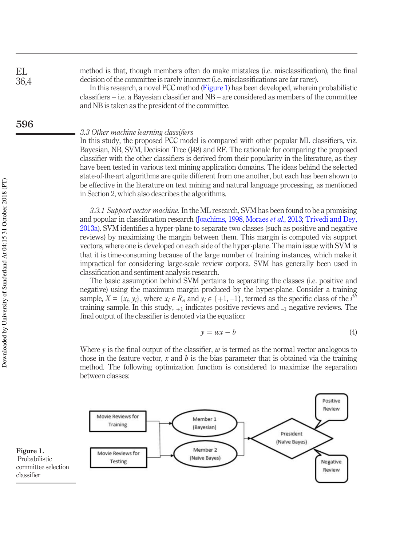method is that, though members often do make mistakes (i.e. misclassification), the final decision of the committee is rarely incorrect (i.e. misclassifications are far rarer).

In this research, a novel PCC method (Figure 1) has been developed, wherein probabilistic classifiers – i.e. a Bayesian classifier and NB – are considered as members of the committee and NB is taken as the president of the committee.

#### 3.3 Other machine learning classifiers

In this study, the proposed PCC model is compared with other popular ML classifiers, viz. Bayesian, NB, SVM, Decision Tree (J48) and RF. The rationale for comparing the proposed classifier with the other classifiers is derived from their popularity in the literature, as they have been tested in various text mining application domains. The ideas behind the selected state-of-the-art algorithms are quite different from one another, but each has been shown to be effective in the literature on text mining and natural language processing, as mentioned in Section 2, which also describes the algorithms.

3.3.1 Support vector machine. In the ML research, SVM has been found to be a promising and popular in classification research (Joachims, 1998, Moraes et al., 2013; Trivedi and Dey, 2013a). SVM identifies a hyper-plane to separate two classes (such as positive and negative reviews) by maximizing the margin between them. This margin is computed via support vectors, where one is developed on each side of the hyper-plane. The main issue with SVM is that it is time-consuming because of the large number of training instances, which make it impractical for considering large-scale review corpora. SVM has generally been used in classification and sentiment analysis research.

The basic assumption behind SVM pertains to separating the classes (i.e. positive and negative) using the maximum margin produced by the hyper-plane. Consider a training sample,  $X = \{x_i, y_i\}$ , where  $x_i \in R_n$  and  $y_i \in \{+1, -1\}$ , termed as the specific class of the  $i^{th}$ training sample. In this study,  $_{+1}$  indicates positive reviews and  $_{-1}$  negative reviews. The final output of the classifier is denoted via the equation:

$$
y = wx - b \tag{4}
$$

Where y is the final output of the classifier,  $w$  is termed as the normal vector analogous to those in the feature vector, x and b is the bias parameter that is obtained via the training method. The following optimization function is considered to maximize the separation between classes:



EL 36,4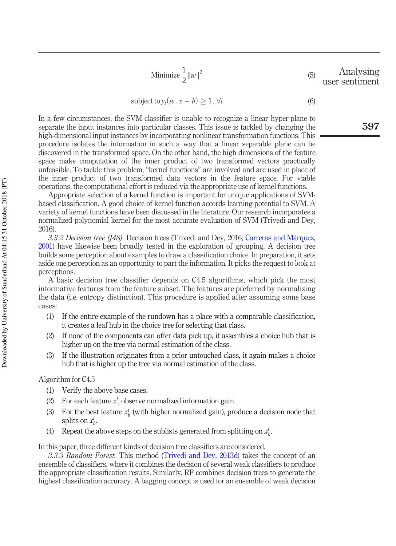Minimize 
$$
\frac{1}{2} ||w||^2
$$
 (5) Analysising user sentiment

subject to  $y_i(w \cdot x - b) \geq 1$ ,  $\forall i$  (6)

In a few circumstances, the SVM classifier is unable to recognize a linear hyper-plane to separate the input instances into particular classes. This issue is tackled by changing the high-dimensional input instances by incorporating nonlinear transformation functions. This procedure isolates the information in such a way that a linear separable plane can be discovered in the transformed space. On the other hand, the high dimensions of the feature space make computation of the inner product of two transformed vectors practically unfeasible. To tackle this problem, "kernel functions" are involved and are used in place of the inner product of two transformed data vectors in the feature space. For viable operations, the computational effort is reduced via the appropriate use of kernel functions.

Appropriate selection of a kernel function is important for unique applications of SVMbased classification. A good choice of kernel function accords learning potential to SVM. A variety of kernel functions have been discussed in the literature. Our research incorporates a normalized polynomial kernel for the most accurate evaluation of SVM (Trivedi and Dey, 2016).

3.3.2 Decision tree (148). Decision trees (Trivedi and Dey, 2016; Carreras and Màrquez, 2001) have likewise been broadly tested in the exploration of grouping. A decision tree builds some perception about examples to draw a classification choice. In preparation, it sets aside one perception as an opportunity to part the information. It picks the request to look at perceptions.

A basic decision tree classifier depends on C4.5 algorithms, which pick the most informative features from the feature subset. The features are preferred by normalizing the data (i.e. entropy distinction). This procedure is applied after assuming some base cases:

- (1) If the entire example of the rundown has a place with a comparable classification, it creates a leaf hub in the choice tree for selecting that class.
- (2) If none of the components can offer data pick up, it assembles a choice hub that is higher up on the tree via normal estimation of the class.
- (3) If the illustration originates from a prior untouched class, it again makes a choice hub that is higher up the tree via normal estimation of the class.

#### Algorithm for C4.5

- (1) Verify the above base cases.
- (2) For each feature  $x^i$ , observe normalized information gain.
- (3) For the best feature  $x_b^i$  (with higher normalized gain), produce a decision node that splits on  $x_b^i$ .
- (4) Repeat the above steps on the sublists generated from splitting on  $x_b^i$ .

In this paper, three different kinds of decision tree classifiers are considered.

3.3.3 Random Forest. This method (Trivedi and Dey, 2013d) takes the concept of an ensemble of classifiers, where it combines the decision of several weak classifiers to produce the appropriate classification results. Similarly, RF combines decision trees to generate the highest classification accuracy. A bagging concept is used for an ensemble of weak decision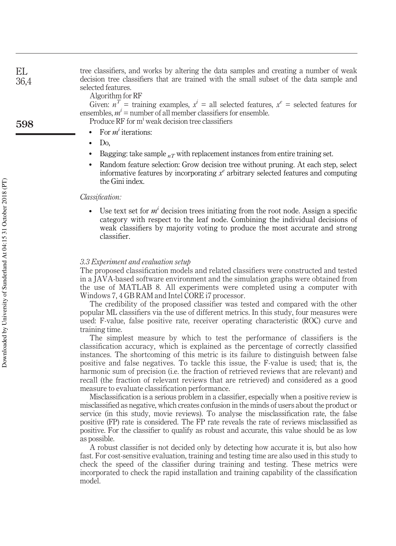tree classifiers, and works by altering the data samples and creating a number of weak decision tree classifiers that are trained with the small subset of the data sample and selected features. EL 36,4

Algorithm for RF

Given:  $n^T$  = training examples,  $x^i$  = all selected features,  $x^e$  = selected features for ensembles,  $m^i$  = number of all member classifiers for ensemble.

Produce RF for m<sup>i</sup> weak decision tree classifiers

- For  $m^i$  iterations:
- $\bullet$  Do,
- Bagging: take sample  $n\tau$  with replacement instances from entire training set.
- Random feature selection: Grow decision tree without pruning. At each step, select informative features by incorporating  $x^e$  arbitrary selected features and computing the Gini index.

#### Classification:

• Use text set for  $m<sup>i</sup>$  decision trees initiating from the root node. Assign a specific category with respect to the leaf node. Combining the individual decisions of weak classifiers by majority voting to produce the most accurate and strong classifier.

#### 3.3 Experiment and evaluation setup

The proposed classification models and related classifiers were constructed and tested in a JAVA-based software environment and the simulation graphs were obtained from the use of MATLAB 8. All experiments were completed using a computer with Windows 7, 4 GB RAM and Intel CORE i7 processor.

The credibility of the proposed classifier was tested and compared with the other popular ML classifiers via the use of different metrics. In this study, four measures were used: F-value, false positive rate, receiver operating characteristic (ROC) curve and training time.

The simplest measure by which to test the performance of classifiers is the classification accuracy, which is explained as the percentage of correctly classified instances. The shortcoming of this metric is its failure to distinguish between false positive and false negatives. To tackle this issue, the F-value is used; that is, the harmonic sum of precision (i.e. the fraction of retrieved reviews that are relevant) and recall (the fraction of relevant reviews that are retrieved) and considered as a good measure to evaluate classification performance.

Misclassification is a serious problem in a classifier, especially when a positive review is misclassified as negative, which creates confusion in the minds of users about the product or service (in this study, movie reviews). To analyse the misclassification rate, the false positive (FP) rate is considered. The FP rate reveals the rate of reviews misclassified as positive. For the classifier to qualify as robust and accurate, this value should be as low as possible.

A robust classifier is not decided only by detecting how accurate it is, but also how fast. For cost-sensitive evaluation, training and testing time are also used in this study to check the speed of the classifier during training and testing. These metrics were incorporated to check the rapid installation and training capability of the classification model.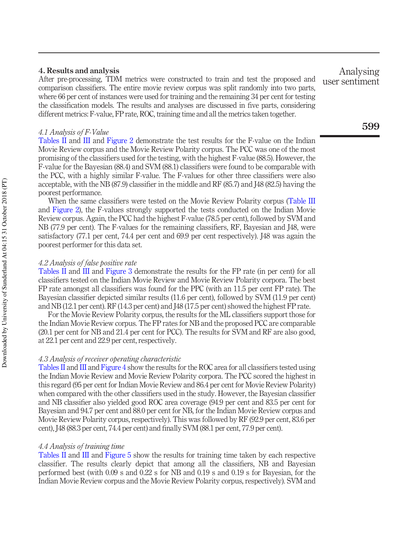#### 4. Results and analysis

After pre-processing, TDM metrics were constructed to train and test the proposed and comparison classifiers. The entire movie review corpus was split randomly into two parts, where 66 per cent of instances were used for training and the remaining 34 per cent for testing the classification models. The results and analyses are discussed in five parts, considering different metrics: F-value, FP rate, ROC, training time and all the metrics taken together.

#### 4.1 Analysis of F-Value

Tables II and III and Figure 2 demonstrate the test results for the F-value on the Indian Movie Review corpus and the Movie Review Polarity corpus. The PCC was one of the most promising of the classifiers used for the testing, with the highest F-value (88.5). However, the F-value for the Bayesian (88.4) and SVM (88.1) classifiers were found to be comparable with the PCC, with a highly similar F-value. The F-values for other three classifiers were also acceptable, with the NB (87.9) classifier in the middle and RF (85.7) and J48 (82.5) having the poorest performance.

When the same classifiers were tested on the Movie Review Polarity corpus (Table III and Figure 2), the F-values strongly supported the tests conducted on the Indian Movie Review corpus. Again, the PCC had the highest F-value (78.5 per cent), followed by SVM and NB (77.9 per cent). The F-values for the remaining classifiers, RF, Bayesian and J48, were satisfactory (77.1 per cent, 74.4 per cent and 69.9 per cent respectively). J48 was again the poorest performer for this data set.

#### 4.2 Analysis of false positive rate

Tables II and III and Figure 3 demonstrate the results for the FP rate (in per cent) for all classifiers tested on the Indian Movie Review and Movie Review Polarity corpora. The best FP rate amongst all classifiers was found for the PPC (with an 11.5 per cent FP rate). The Bayesian classifier depicted similar results (11.6 per cent), followed by SVM (11.9 per cent) and NB (12.1 per cent). RF (14.3 per cent) and J48 (17.5 per cent) showed the highest FP rate.

For the Movie Review Polarity corpus, the results for the ML classifiers support those for the Indian Movie Review corpus. The FP rates for NB and the proposed PCC are comparable (20.1 per cent for NB and 21.4 per cent for PCC). The results for SVM and RF are also good, at 22.1 per cent and 22.9 per cent, respectively.

#### 4.3 Analysis of receiver operating characteristic

Tables II and III and Figure 4 show the results for the ROC area for all classifiers tested using the Indian Movie Review and Movie Review Polarity corpora. The PCC scored the highest in this regard (95 per cent for Indian Movie Review and 86.4 per cent for Movie Review Polarity) when compared with the other classifiers used in the study. However, the Bayesian classifier and NB classifier also yielded good ROC area coverage (94.9 per cent and 83.5 per cent for Bayesian and 94.7 per cent and 88.0 per cent for NB, for the Indian Movie Review corpus and Movie Review Polarity corpus, respectively). This was followed by RF (92.9 per cent, 83.6 per cent), J48 (88.3 per cent, 74.4 per cent) and finally SVM (88.1 per cent, 77.9 per cent).

#### 4.4 Analysis of training time

Tables II and III and Figure 5 show the results for training time taken by each respective classifier. The results clearly depict that among all the classifiers, NB and Bayesian performed best (with 0.09 s and 0.22 s for NB and 0.19 s and 0.19 s for Bayesian, for the Indian Movie Review corpus and the Movie Review Polarity corpus, respectively). SVM and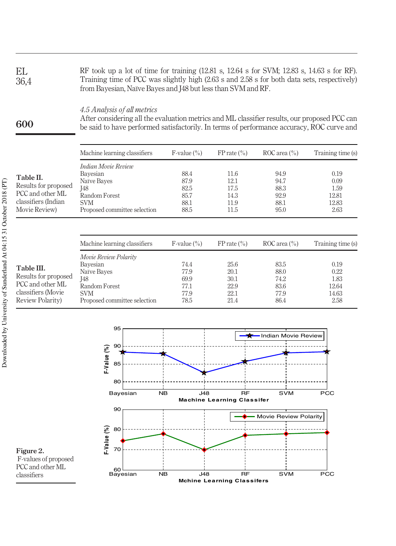RF took up a lot of time for training (12.81 s, 12.64 s for SVM; 12.83 s, 14.63 s for RF). Training time of PCC was slightly high (2.63 s and 2.58 s for both data sets, respectively) from Bayesian, Naïve Bayes and J48 but less than SVM and RF. EL 36,4

#### 4.5 Analysis of all metrics

600

After considering all the evaluation metrics and ML classifier results, our proposed PCC can be said to have performed satisfactorily. In terms of performance accuracy, ROC curve and

|                                                                                               | Machine learning classifiers                                                                                         | $F-value$ (%)                                | $FP$ rate $\left(\frac{9}{6}\right)$         | ROC area $\binom{0}{0}$                      | Training time (s)                              |
|-----------------------------------------------------------------------------------------------|----------------------------------------------------------------------------------------------------------------------|----------------------------------------------|----------------------------------------------|----------------------------------------------|------------------------------------------------|
| Table II.<br>Results for proposed<br>PCC and other ML<br>classifiers (Indian<br>Movie Review) | Indian Movie Review<br>Bayesian<br>Naïve Bayes<br>J48<br>Random Forest<br><b>SVM</b><br>Proposed committee selection | 88.4<br>87.9<br>82.5<br>85.7<br>88.1<br>88.5 | 11.6<br>12.1<br>17.5<br>14.3<br>11.9<br>11.5 | 94.9<br>94.7<br>88.3<br>92.9<br>88.1<br>95.0 | 0.19<br>0.09<br>1.59<br>12.81<br>12.83<br>2.63 |
|                                                                                               |                                                                                                                      |                                              |                                              |                                              |                                                |

|                                                                                                   | Machine learning classifiers                                                                                                  | F-value $(\% )$                              | FP rate $(\% )$                              | ROC area $\binom{0}{0}$                      | Training time (s)                              |
|---------------------------------------------------------------------------------------------------|-------------------------------------------------------------------------------------------------------------------------------|----------------------------------------------|----------------------------------------------|----------------------------------------------|------------------------------------------------|
| Table III.<br>Results for proposed<br>PCC and other ML<br>classifiers (Movie)<br>Review Polarity) | Movie Review Polarity<br>Bayesian<br>Naïve Bayes<br><b>I48</b><br>Random Forest<br><b>SVM</b><br>Proposed committee selection | 74.4<br>77.9<br>69.9<br>77.1<br>77.9<br>78.5 | 25.6<br>20.1<br>30.1<br>22.9<br>22.1<br>21.4 | 83.5<br>88.0<br>74.2<br>83.6<br>77.9<br>86.4 | 0.19<br>0.22<br>1.83<br>12.64<br>14.63<br>2.58 |



Figure 2. F-values of proposed PCC and other ML classifiers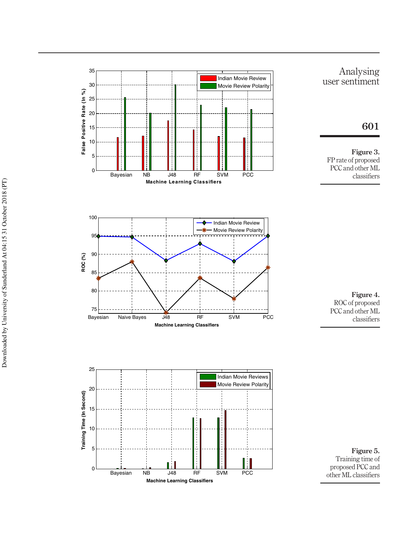



Figure 3.

601

Analysing

PCC and other ML classifiers

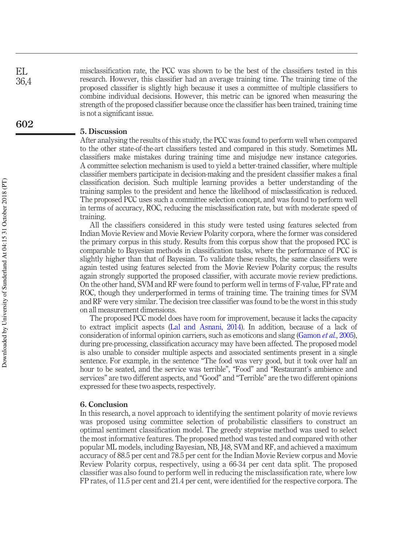misclassification rate, the PCC was shown to be the best of the classifiers tested in this research. However, this classifier had an average training time. The training time of the proposed classifier is slightly high because it uses a committee of multiple classifiers to combine individual decisions. However, this metric can be ignored when measuring the strength of the proposed classifier because once the classifier has been trained, training time is not a significant issue.

#### 5. Discussion

After analysing the results of this study, the PCC was found to perform well when compared to the other state-of-the-art classifiers tested and compared in this study. Sometimes ML classifiers make mistakes during training time and misjudge new instance categories. A committee selection mechanism is used to yield a better-trained classifier, where multiple classifier members participate in decision-making and the president classifier makes a final classification decision. Such multiple learning provides a better understanding of the training samples to the president and hence the likelihood of misclassification is reduced. The proposed PCC uses such a committee selection concept, and was found to perform well in terms of accuracy, ROC, reducing the misclassification rate, but with moderate speed of training.

All the classifiers considered in this study were tested using features selected from Indian Movie Review and Movie Review Polarity corpora, where the former was considered the primary corpus in this study. Results from this corpus show that the proposed PCC is comparable to Bayesian methods in classification tasks, where the performance of PCC is slightly higher than that of Bayesian. To validate these results, the same classifiers were again tested using features selected from the Movie Review Polarity corpus; the results again strongly supported the proposed classifier, with accurate movie review predictions. On the other hand, SVM and RF were found to perform well in terms of F-value, FP rate and ROC, though they underperformed in terms of training time. The training times for SVM and RF were very similar. The decision tree classifier was found to be the worst in this study on all measurement dimensions.

The proposed PCC model does have room for improvement, because it lacks the capacity to extract implicit aspects (Lal and Asnani, 2014). In addition, because of a lack of consideration of informal opinion carriers, such as emoticons and slang (Gamon et al., 2005), during pre-processing, classification accuracy may have been affected. The proposed model is also unable to consider multiple aspects and associated sentiments present in a single sentence. For example, in the sentence "The food was very good, but it took over half an hour to be seated, and the service was terrible", "Food" and "Restaurant's ambience and services" are two different aspects, and "Good" and "Terrible" are the two different opinions expressed for these two aspects, respectively.

#### 6. Conclusion

In this research, a novel approach to identifying the sentiment polarity of movie reviews was proposed using committee selection of probabilistic classifiers to construct an optimal sentiment classification model. The greedy stepwise method was used to select the most informative features. The proposed method was tested and compared with other popular ML models, including Bayesian, NB, J48, SVM and RF, and achieved a maximum accuracy of 88.5 per cent and 78.5 per cent for the Indian Movie Review corpus and Movie Review Polarity corpus, respectively, using a 66-34 per cent data split. The proposed classifier was also found to perform well in reducing the misclassification rate, where low FP rates, of 11.5 per cent and 21.4 per cent, were identified for the respective corpora. The

EL 36,4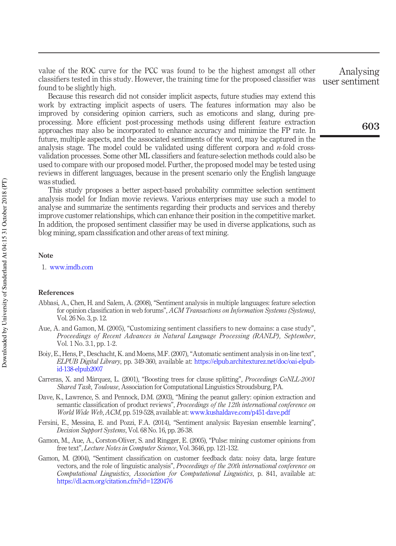value of the ROC curve for the PCC was found to be the highest amongst all other classifiers tested in this study. However, the training time for the proposed classifier was found to be slightly high.

Because this research did not consider implicit aspects, future studies may extend this work by extracting implicit aspects of users. The features information may also be improved by considering opinion carriers, such as emoticons and slang, during preprocessing. More efficient post-processing methods using different feature extraction approaches may also be incorporated to enhance accuracy and minimize the FP rate. In future, multiple aspects, and the associated sentiments of the word, may be captured in the analysis stage. The model could be validated using different corpora and  $n$ -fold crossvalidation processes. Some other ML classifiers and feature-selection methods could also be used to compare with our proposed model. Further, the proposed model may be tested using reviews in different languages, because in the present scenario only the English language was studied.

This study proposes a better aspect-based probability committee selection sentiment analysis model for Indian movie reviews. Various enterprises may use such a model to analyse and summarize the sentiments regarding their products and services and thereby improve customer relationships, which can enhance their position in the competitive market. In addition, the proposed sentiment classifier may be used in diverse applications, such as blog mining, spam classification and other areas of text mining.

#### Note

1. www.imdb.com

#### References

- Abbasi, A., Chen, H. and Salem, A. (2008), "Sentiment analysis in multiple languages: feature selection for opinion classification in web forums", ACM Transactions on Information Systems (Systems), Vol. 26 No. 3, p. 12.
- Aue, A. and Gamon, M. (2005), "Customizing sentiment classifiers to new domains: a case study", Proceedings of Recent Advances in Natural Language Processing (RANLP), September, Vol. 1 No. 3.1, pp. 1-2.
- Boiy, E., Hens, P., Deschacht, K. and Moens, M.F. (2007), "Automatic sentiment analysis in on-line text", ELPUB Digital Library, pp. 349-360, available at: https://elpub.architexturez.net/doc/oai-elpubid-138-elpub2007
- Carreras, X. and Màrquez, L. (2001), "Boosting trees for clause splitting", Proceedings CoNLL-2001 Shared Task, Toulouse, Association for Computational Linguistics Stroudsburg, PA.
- Dave, K., Lawrence, S. and Pennock, D.M. (2003), "Mining the peanut gallery: opinion extraction and semantic classification of product reviews", Proceedings of the 12th international conference on World Wide Web, ACM, pp. 519-528, available at: www.kushaldave.com/p451-dave.pdf
- Fersini, E., Messina, E. and Pozzi, F.A. (2014), "Sentiment analysis: Bayesian ensemble learning", Decision Support Systems, Vol. 68 No. 16, pp. 26-38.
- Gamon, M., Aue, A., Corston-Oliver, S. and Ringger, E. (2005), "Pulse: mining customer opinions from free text", Lecture Notes in Computer Science, Vol. 3646, pp. 121-132.
- Gamon, M. (2004), "Sentiment classification on customer feedback data: noisy data, large feature vectors, and the role of linguistic analysis", Proceedings of the 20th international conference on Computational Linguistics, Association for Computational Linguistics, p. 841, available at: https://dl.acm.org/citation.cfm?id=1220476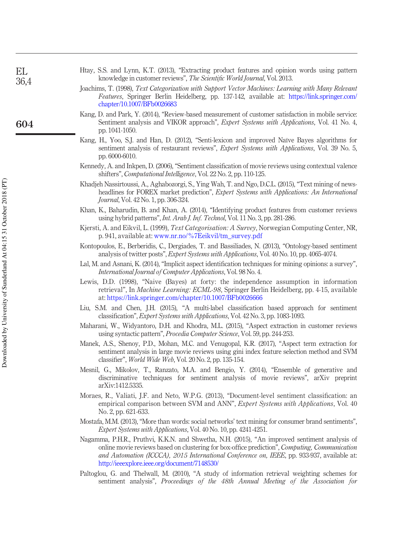| EL   | Htay, S.S. and Lynn, K.T. (2013), "Extracting product features and opinion words using pattern                                                                                                                                                             |
|------|------------------------------------------------------------------------------------------------------------------------------------------------------------------------------------------------------------------------------------------------------------|
| 36,4 | knowledge in customer reviews", <i>The Scientific World Journal</i> , Vol. 2013.                                                                                                                                                                           |
|      | Joachims, T. (1998), Text Categorization with Support Vector Machines: Learning with Many Relevant<br>Features, Springer Berlin Heidelberg, pp. 137-142, available at: https://link.springer.com/<br>chapter/10.1007/BFb0026683                            |
| 604  | Kang, D. and Park, Y. (2014), "Review-based measurement of customer satisfaction in mobile service:<br>Sentiment analysis and VIKOR approach", <i>Expert Systems with Applications</i> , Vol. 41 No. 4,<br>pp. 1041-1050.                                  |
|      | Kang, H., Yoo, S.J. and Han, D. (2012), "Senti-lexicon and improved Naïve Bayes algorithms for<br>sentiment analysis of restaurant reviews", <i>Expert Systems with Applications</i> , Vol. 39 No. 5,<br>pp. 6000-6010.                                    |
|      | Kennedy, A. and Inkpen, D. (2006), "Sentiment classification of movie reviews using contextual valence<br>shifters", Computational Intelligence, Vol. 22 No. 2, pp. 110-125.                                                                               |
|      | Khadjeh Nassirtoussi, A., Aghabozorgi, S., Ying Wah, T. and Ngo, D.C.L. (2015), "Text mining of news-<br>headlines for FOREX market prediction", <i>Expert Systems with Applications: An International</i><br><i>Journal</i> , Vol. 42 No. 1, pp. 306-324. |
|      | Khan, K., Baharudin, B. and Khan, A. (2014), "Identifying product features from customer reviews<br>using hybrid patterns", <i>Int. Arab J. Inf. Technol</i> , Vol. 11 No. 3, pp. 281-286.                                                                 |
|      | Kjersti, A. and Eikvil, L. (1999), <i>Text Categorisation: A Survey</i> , Norwegian Computing Center, NR,<br>p. 941, available at: www.nr.no/%7Eeikvil/tm_survey.pdf                                                                                       |
|      | Kontopoulos, E., Berberidis, C., Dergiades, T. and Bassiliades, N. (2013), "Ontology-based sentiment<br>analysis of twitter posts", <i>Expert Systems with Applications</i> , Vol. 40 No. 10, pp. 4065-4074.                                               |
|      | Lal, M. and Asnani, K. (2014), "Implicit aspect identification techniques for mining opinions: a survey",<br><i>International Journal of Computer Applications, Vol. 98 No. 4.</i>                                                                         |
|      | Lewis, D.D. (1998), "Naive (Bayes) at forty: the independence assumption in information<br>retrieval", In <i>Machine Learning: ECML-98</i> , Springer Berlin Heidelberg, pp. 4-15, available<br>at: https://link.springer.com/chapter/10.1007/BFb0026666   |
|      | Liu, S.M. and Chen, J.H. (2015), "A multi-label classification based approach for sentiment<br>classification", <i>Expert Systems with Applications</i> , Vol. 42 No. 3, pp. 1083-1093.                                                                    |
|      | Maharani, W., Widyantoro, D.H. and Khodra, M.L. (2015), "Aspect extraction in customer reviews<br>using syntactic pattern", <i>Procedia Computer Science</i> , Vol. 59, pp. 244-253.                                                                       |
|      | Manek, A.S., Shenoy, P.D., Mohan, M.C. and Venugopal, K.R. (2017), "Aspect term extraction for<br>sentiment analysis in large movie reviews using gini index feature selection method and SVM                                                              |

classifier", World Wide Web, Vol. 20 No. 2, pp. 135-154.

Downloaded by University of Sunderland At 04:15 31 October 2018 (PT)

Downloaded by University of Sunderland At 04:15 31 October 2018 (PT)

- Mesnil, G., Mikolov, T., Ranzato, M.A. and Bengio, Y. (2014), "Ensemble of generative and discriminative techniques for sentiment analysis of movie reviews", arXiv preprint arXiv:1412.5335.
- Moraes, R., Valiati, J.F. and Neto, W.P.G. (2013), "Document-level sentiment classification: an empirical comparison between SVM and ANN", Expert Systems with Applications, Vol. 40 No. 2, pp. 621-633.
- Mostafa, M.M. (2013), "More than words: social networks' text mining for consumer brand sentiments", Expert Systems with Applications, Vol. 40 No. 10, pp. 4241-4251.
- Nagamma, P.H.R., Pruthvi, K.K.N. and Shwetha, N.H. (2015), "An improved sentiment analysis of online movie reviews based on clustering for box-office prediction", Computing, Communication and Automation (ICCCA), 2015 International Conference on, IEEE, pp. 933-937, available at: http://ieeexplore.ieee.org/document/7148530/
- Paltoglou, G. and Thelwall, M. (2010), "A study of information retrieval weighting schemes for sentiment analysis", Proceedings of the 48th Annual Meeting of the Association for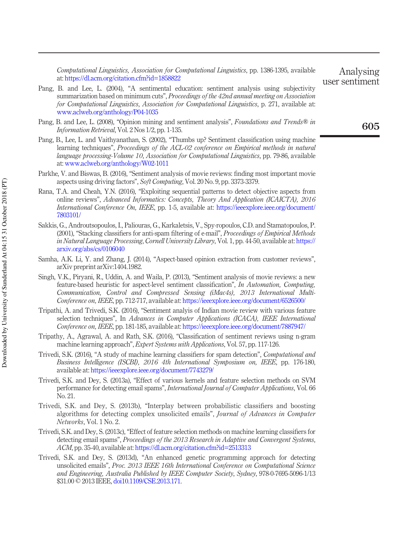Computational Linguistics, Association for Computational Linguistics, pp. 1386-1395, available at: https://dl.acm.org/citation.cfm?id=1858822

- Pang, B. and Lee, L. (2004), "A sentimental education: sentiment analysis using subjectivity summarization based on minimum cuts", Proceedings of the 42nd annual meeting on Association for Computational Linguistics, Association for Computational Linguistics, p. 271, available at: www.aclweb.org/anthology/P04-1035
- Pang, B. and Lee, L. (2008), "Opinion mining and sentiment analysis", *Foundations and Trends<sup>®</sup> in* Information Retrieval, Vol. 2 Nos 1/2, pp. 1-135.
- Pang, B., Lee, L. and Vaithyanathan, S. (2002), "Thumbs up? Sentiment classification using machine learning techniques", Proceedings of the ACL-02 conference on Empirical methods in natural language processing-Volume 10, Association for Computational Linguistics, pp. 79-86, available at: www.aclweb.org/anthology/W02-1011
- Parkhe, V. and Biswas, B. (2016), "Sentiment analysis of movie reviews: finding most important movie aspects using driving factors", Soft Computing, Vol. 20 No. 9, pp. 3373-3379.
- Rana, T.A. and Cheah, Y.N. (2016), "Exploiting sequential patterns to detect objective aspects from online reviews", Advanced Informatics: Concepts, Theory And Application (ICAICTA), 2016 International Conference On, IEEE, pp. 1-5, available at: https://ieeexplore.ieee.org/document/ 7803101/
- Sakkis, G., Androutsopoulos, I., Paliouras, G., Karkaletsis, V., Spy-ropoulos, C.D. and Stamatopoulos, P. (2001), "Stacking classifiers for anti-spam filtering of e-mail", Proceedings of Empirical Methods in Natural Language Processing, Cornell University Library, Vol. 1, pp. 44-50, available at: https:// arxiv.org/abs/cs/0106040
- Samha, A.K. Li, Y. and Zhang, J. (2014), "Aspect-based opinion extraction from customer reviews", arXiv preprint arXiv:1404.1982.
- Singh, V.K., Piryani, R., Uddin, A. and Waila, P. (2013), "Sentiment analysis of movie reviews: a new feature-based heuristic for aspect-level sentiment classification", In Automation, Computing, Communication, Control and Compressed Sensing (iMac4s), 2013 International Multi-Conference on, IEEE, pp. 712-717, available at: https://ieeexplore.ieee.org/document/6526500/
- Tripathi, A. and Trivedi, S.K. (2016), "Sentiment analyis of Indian movie review with various feature selection techniques", In Advances in Computer Applications (ICACA), IEEE International Conference on, IEEE, pp. 181-185, available at: https://ieeexplore.ieee.org/document/7887947/
- Tripathy, A., Agrawal, A. and Rath, S.K. (2016), "Classification of sentiment reviews using n-gram machine learning approach", Expert Systems with Applications, Vol. 57, pp. 117-126.
- Trivedi, S.K. (2016), "A study of machine learning classifiers for spam detection", *Computational and* Business Intelligence (ISCBI), 2016 4th International Symposium on, IEEE, pp. 176-180, available at: https://ieeexplore.ieee.org/document/7743279/
- Trivedi, S.K. and Dey, S. (2013a), "Effect of various kernels and feature selection methods on SVM performance for detecting email spams", International Journal of Computer Applications, Vol. 66 No. 21.
- Trivedi, S.K. and Dey, S. (2013b), "Interplay between probabilistic classifiers and boosting algorithms for detecting complex unsolicited emails", Journal of Advances in Computer Networks, Vol. 1 No. 2.
- Trivedi, S.K. and Dey, S. (2013c),"Effect of feature selection methods on machine learning classifiers for detecting email spams", Proceedings of the 2013 Research in Adaptive and Convergent Systems, ACM, pp. 35-40, available at: https://dl.acm.org/citation.cfm?id=2513313
- Trivedi, S.K. and Dey, S. (2013d), "An enhanced genetic programming approach for detecting unsolicited emails", Proc. 2013 IEEE 16th International Conference on Computational Science and Engineering, Australia Published by IEEE Computer Society, Sydney, 978-0-7695-5096-1/13 \$31.00 © 2013 IEEE, doi10.1109/CSE.2013.171.

Analysing user sentiment